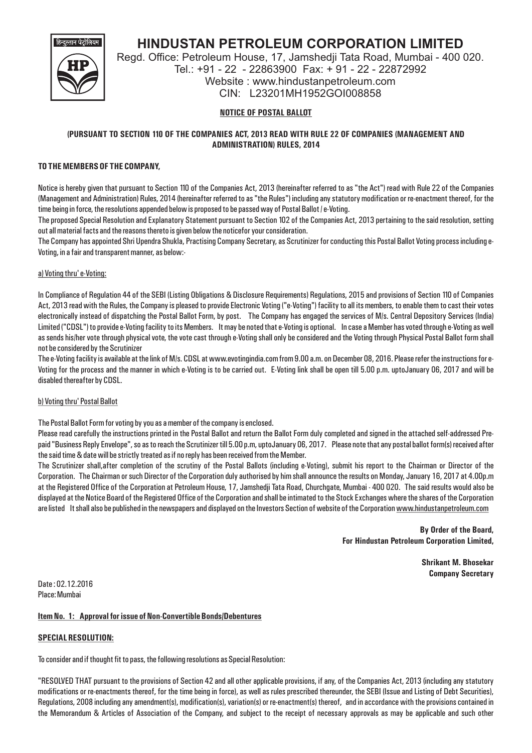

# **HINDUSTAN PETROLEUM CORPORATION LIMITED**

Regd. Office: Petroleum House, 17, Jamshedji Tata Road, Mumbai - 400 020. Tel.: +91 - 22 - 22863900 Fax: + 91 - 22 - 22872992 Website : www.hindustanpetroleum.com CIN: L23201MH1952GOI008858

# **NOTICE OF POSTAL BALLOT**

# **(PURSUANT TO SECTION 110 OF THE COMPANIES ACT, 2013 READ WITH RULE 22 OF COMPANIES (MANAGEMENT AND ADMINISTRATION) RULES, 2014**

## **TO THE MEMBERS OF THE COMPANY,**

Notice is hereby given that pursuant to Section 110 of the Companies Act, 2013 (hereinafter referred to as "the Act") read with Rule 22 of the Companies (Management and Administration) Rules, 2014 (hereinafter referred to as "the Rules") including any statutory modification or re-enactment thereof, for the time being in force, the resolutions appended below is proposed to be passed way of Postal Ballot / e-Voting.

The proposed Special Resolution and Explanatory Statement pursuant to Section 102 of the Companies Act, 2013 pertaining to the said resolution, setting out all material facts and the reasons thereto is given below the noticefor your consideration.

The Company has appointed Shri Upendra Shukla, Practising Company Secretary, as Scrutinizer for conducting this Postal Ballot Voting process including e-Voting, in a fair and transparent manner, as below:-

## a) Voting thru' e-Voting:

In Compliance of Regulation 44 of the SEBI (Listing Obligations & Disclosure Requirements) Regulations, 2015 and provisions of Section 110 of Companies Act, 2013 read with the Rules, the Company is pleased to provide Electronic Voting ("e-Voting") facility to all its members, to enable them to cast their votes electronically instead of dispatching the Postal Ballot Form, by post. The Company has engaged the services of M/s. Central Depository Services (India) Limited ("CDSL") to provide e-Voting facility to its Members. It may be noted that e-Voting is optional. In case a Member has voted through e-Voting as well as sends his/her vote through physical vote, the vote cast through e-Voting shall only be considered and the Voting through Physical Postal Ballot form shall not be considered by the Scrutinizer

The e-Voting facility is available at the link of M/s. CDSL at www.evotingindia.com from 9.00 a.m. on December 08, 2016. Please refer the instructions for e-Voting for the process and the manner in which e-Voting is to be carried out. E-Voting link shall be open till 5.00 p.m. uptoJanuary 06, 2017 and will be disabled thereafter by CDSL.

#### b) Voting thru' Postal Ballot

The Postal Ballot Form for voting by you as a member of the company is enclosed.

Please read carefully the instructions printed in the Postal Ballot and return the Ballot Form duly completed and signed in the attached self-addressed Prepaid "Business Reply Envelope", so as to reach the Scrutinizer till 5.00 p.m, uptoJanuary 06, 2017. Please note that any postal ballot form(s) received after the said time & date will be strictly treated as if no reply has been received from the Member.

The Scrutinizer shall,after completion of the scrutiny of the Postal Ballots (including e-Voting), submit his report to the Chairman or Director of the Corporation. The Chairman or such Director of the Corporation duly authorised by him shall announce the results on Monday, January 16, 2017 at 4.00p.m at the Registered Office of the Corporation at Petroleum House, 17, Jamshedji Tata Road, Churchgate, Mumbai - 400 020. The said results would also be displayed at the Notice Board of the Registered Office of the Corporation and shall be intimated to the Stock Exchanges where the shares of the Corporation are listed It shall also be published in the newspapers and displayed on the Investors Section of website of the Corporation www.hindustanpetroleum.com

> **By Order of the Board, For Hindustan Petroleum Corporation Limited,**

> > **Shrikant M. Bhosekar Company Secretary**

Date : 02.12.2016 Place: Mumbai

## **Item No. 1: Approval for issue of Non-Convertible Bonds/Debentures**

## **SPECIAL RESOLUTION:**

To consider and if thought fit to pass, the following resolutions as Special Resolution:

"RESOLVED THAT pursuant to the provisions of Section 42 and all other applicable provisions, if any, of the Companies Act, 2013 (including any statutory modifications or re-enactments thereof, for the time being in force), as well as rules prescribed thereunder, the SEBI (Issue and Listing of Debt Securities), Regulations, 2008 including any amendment(s), modification(s), variation(s) or re-enactment(s) thereof, and in accordance with the provisions contained in the Memorandum & Articles of Association of the Company, and subject to the receipt of necessary approvals as may be applicable and such other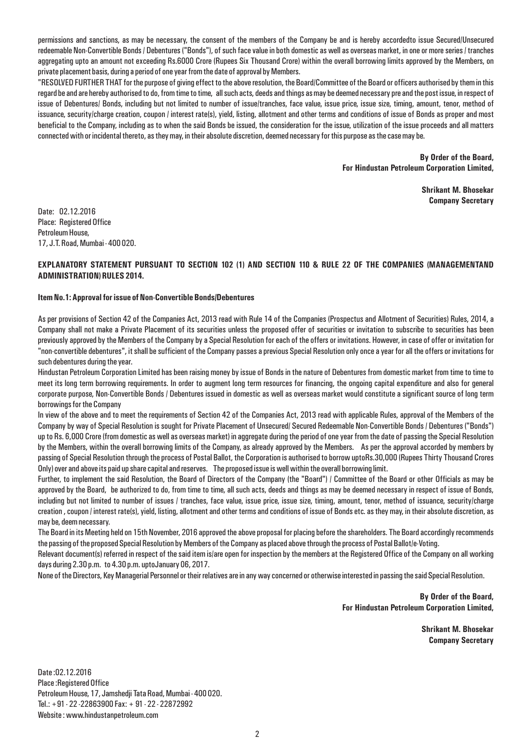permissions and sanctions, as may be necessary, the consent of the members of the Company be and is hereby accordedto issue Secured/Unsecured redeemable Non-Convertible Bonds / Debentures ("Bonds"), of such face value in both domestic as well as overseas market, in one or more series / tranches aggregating upto an amount not exceeding Rs.6000 Crore (Rupees Six Thousand Crore) within the overall borrowing limits approved by the Members, on private placement basis, during a period of one year from the date of approval by Members.

"RESOLVED FURTHER THAT for the purpose of giving effect to the above resolution, the Board/Committee of the Board or officers authorised by them in this regard be and are hereby authorised to do, from time to time, all such acts, deeds and things as may be deemed necessary pre and the post issue, in respect of issue of Debentures/ Bonds, including but not limited to number of issue/tranches, face value, issue price, issue size, timing, amount, tenor, method of issuance, security/charge creation, coupon / interest rate(s), yield, listing, allotment and other terms and conditions of issue of Bonds as proper and most beneficial to the Company, including as to when the said Bonds be issued, the consideration for the issue, utilization of the issue proceeds and all matters connected with or incidental thereto, as they may, in their absolute discretion, deemed necessary for this purpose as the case may be.

> **By Order of the Board, For Hindustan Petroleum Corporation Limited,**

> > **Shrikant M. Bhosekar Company Secretary**

Date: 02.12.2016 Place: Registered Office Petroleum House, 17, J.T. Road, Mumbai - 400 020.

## **EXPLANATORY STATEMENT PURSUANT TO SECTION 102 (1) AND SECTION 110 & RULE 22 OF THE COMPANIES (MANAGEMENTAND ADMINISTRATION) RULES 2014.**

#### **Item No.1: Approval for issue of Non-Convertible Bonds/Debentures**

As per provisions of Section 42 of the Companies Act, 2013 read with Rule 14 of the Companies (Prospectus and Allotment of Securities) Rules, 2014, a Company shall not make a Private Placement of its securities unless the proposed offer of securities or invitation to subscribe to securities has been previously approved by the Members of the Company by a Special Resolution for each of the offers or invitations. However, in case of offer or invitation for "non-convertible debentures", it shall be sufficient of the Company passes a previous Special Resolution only once a year for all the offers or invitations for such debentures during the year.

Hindustan Petroleum Corporation Limited has been raising money by issue of Bonds in the nature of Debentures from domestic market from time to time to meet its long term borrowing requirements. In order to augment long term resources for financing, the ongoing capital expenditure and also for general corporate purpose, Non-Convertible Bonds / Debentures issued in domestic as well as overseas market would constitute a significant source of long term borrowings for the Company

In view of the above and to meet the requirements of Section 42 of the Companies Act, 2013 read with applicable Rules, approval of the Members of the Company by way of Special Resolution is sought for Private Placement of Unsecured/ Secured Redeemable Non-Convertible Bonds / Debentures ("Bonds") up to Rs. 6,000 Crore (from domestic as well as overseas market) in aggregate during the period of one year from the date of passing the Special Resolution by the Members, within the overall borrowing limits of the Company, as already approved by the Members. As per the approval accorded by members by passing of Special Resolution through the process of Postal Ballot, the Corporation is authorised to borrow uptoRs.30,000 (Rupees Thirty Thousand Crores Only) over and above its paid up share capital and reserves. The proposed issue is well within the overall borrowing limit.

Further, to implement the said Resolution, the Board of Directors of the Company (the "Board") / Committee of the Board or other Officials as may be approved by the Board, be authorized to do, from time to time, all such acts, deeds and things as may be deemed necessary in respect of issue of Bonds, including but not limited to number of issues / tranches, face value, issue price, issue size, timing, amount, tenor, method of issuance, security/charge creation , coupon / interest rate(s), yield, listing, allotment and other terms and conditions of issue of Bonds etc. as they may, in their absolute discretion, as may be, deem necessary.

The Board in its Meeting held on 15th November, 2016 approved the above proposal for placing before the shareholders. The Board accordingly recommends the passing of the proposed Special Resolution by Members of the Company as placed above through the process of Postal Ballot/e-Voting.

Relevant document(s) referred in respect of the said item is/are open for inspection by the members at the Registered Office of the Company on all working days during 2.30 p.m. to 4.30 p.m. uptoJanuary 06, 2017.

None of the Directors, Key Managerial Personnel or their relatives are in any way concerned or otherwise interested in passing the said Special Resolution.

**By Order of the Board, For Hindustan Petroleum Corporation Limited,**

> **Shrikant M. Bhosekar Company Secretary**

Date :02.12.2016 Place :Registered Office Petroleum House, 17, Jamshedji Tata Road, Mumbai - 400 020. Tel.: +91 - 22 -22863900 Fax: + 91 - 22 - 22872992 Website : www.hindustanpetroleum.com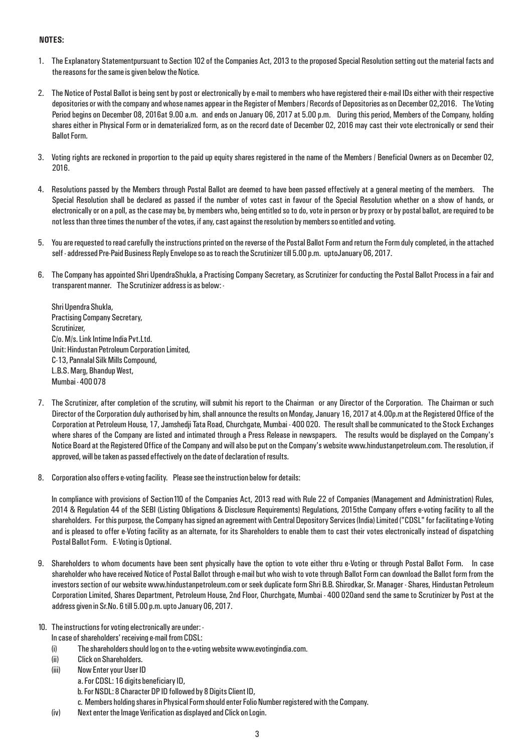# **NOTES:**

- 1. The Explanatory Statementpursuant to Section 102 of the Companies Act, 2013 to the proposed Special Resolution setting out the material facts and the reasons for the same is given below the Notice.
- 2. The Notice of Postal Ballot is being sent by post or electronically by e-mail to members who have registered their e-mail IDs either with their respective depositories or with the company and whose names appear in the Register of Members / Records of Depositories as on December 02,2016. The Voting Period begins on December 08, 2016at 9.00 a.m. and ends on January 06, 2017 at 5.00 p.m. During this period, Members of the Company, holding shares either in Physical Form or in dematerialized form, as on the record date of December 02, 2016 may cast their vote electronically or send their Ballot Form.
- 3. Voting rights are reckoned in proportion to the paid up equity shares registered in the name of the Members / Beneficial Owners as on December 02, 2016.
- 4. Resolutions passed by the Members through Postal Ballot are deemed to have been passed effectively at a general meeting of the members. The Special Resolution shall be declared as passed if the number of votes cast in favour of the Special Resolution whether on a show of hands, or electronically or on a poll, as the case may be, by members who, being entitled so to do, vote in person or by proxy or by postal ballot, are required to be not less than three times the number of the votes, if any, cast against the resolution by members so entitled and voting.
- 5. You are requested to read carefully the instructions printed on the reverse of the Postal Ballot Form and return the Form duly completed, in the attached self - addressed Pre-Paid Business Reply Envelope so as to reach the Scrutinizer till 5.00 p.m. uptoJanuary 06, 2017.
- 6. The Company has appointed Shri UpendraShukla, a Practising Company Secretary, as Scrutinizer for conducting the Postal Ballot Process in a fair and transparent manner. The Scrutinizer address is as below: -

Shri Upendra Shukla, Practising Company Secretary, Scrutinizer, C/o. M/s. Link Intime India Pvt.Ltd. Unit: Hindustan Petroleum Corporation Limited, C-13, Pannalal Silk Mills Compound, L.B.S. Marg, Bhandup West, Mumbai - 400 078

- 7. The Scrutinizer, after completion of the scrutiny, will submit his report to the Chairman or any Director of the Corporation. The Chairman or such Director of the Corporation duly authorised by him, shall announce the results on Monday, January 16, 2017 at 4.00p.m at the Registered Office of the Corporation at Petroleum House, 17, Jamshedji Tata Road, Churchgate, Mumbai - 400 020. The result shall be communicated to the Stock Exchanges where shares of the Company are listed and intimated through a Press Release in newspapers. The results would be displayed on the Company's Notice Board at the Registered Office of the Company and will also be put on the Company's website www.hindustanpetroleum.com. The resolution, if approved, will be taken as passed effectively on the date of declaration of results.
- 8. Corporation also offers e-voting facility. Please see the instruction below for details:

In compliance with provisions of Section110 of the Companies Act, 2013 read with Rule 22 of Companies (Management and Administration) Rules, 2014 & Regulation 44 of the SEBI (Listing Obligations & Disclosure Requirements) Regulations, 2015the Company offers e-voting facility to all the shareholders. For this purpose, the Company has signed an agreement with Central Depository Services (India) Limited ("CDSL" for facilitating e-Voting and is pleased to offer e-Voting facility as an alternate, for its Shareholders to enable them to cast their votes electronically instead of dispatching Postal Ballot Form. E-Voting is Optional.

- 9. Shareholders to whom documents have been sent physically have the option to vote either thru e-Voting or through Postal Ballot Form. In case shareholder who have received Notice of Postal Ballot through e-mail but who wish to vote through Ballot Form can download the Ballot form from the investors section of our website www.hindustanpetroleum.com or seek duplicate form Shri B.B. Shirodkar, Sr. Manager - Shares, Hindustan Petroleum Corporation Limited, Shares Department, Petroleum House, 2nd Floor, Churchgate, Mumbai - 400 020and send the same to Scrutinizer by Post at the address given in Sr.No. 6 till 5.00 p.m. upto January 06, 2017.
- 10. The instructions for voting electronically are under:
	- In case of shareholders' receiving e-mail from CDSL:
	- (i) The shareholders should log on to the e-voting website www.evotingindia.com.
	- (ii) Click on Shareholders.
	- (iii) Now Enter your User ID
		- a. For CDSL: 16 digits beneficiary ID,
			- b. For NSDL: 8 Character DP ID followed by 8 Digits Client ID,
			- c. Members holding shares in Physical Form should enter Folio Number registered with the Company.
	- (iv) Next enter the Image Verification as displayed and Click on Login.